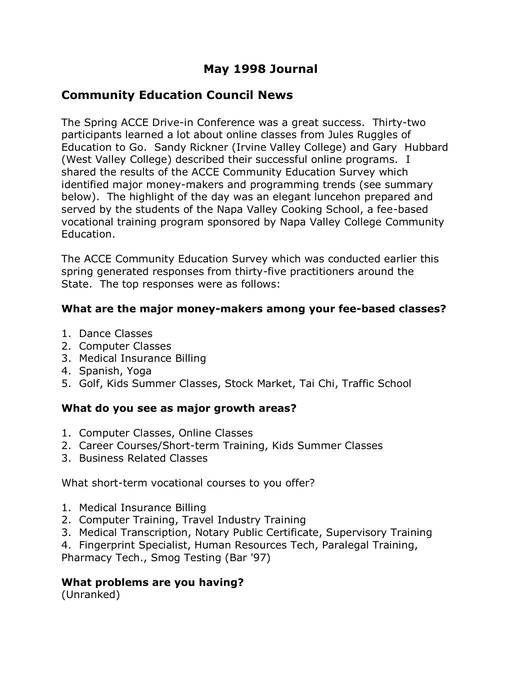# **May 1998 Journal**

# **Community Education Council News**

The Spring ACCE Drive-in Conference was a great success. Thirty-two participants learned a lot about online classes from Jules Ruggles of Education to Go. Sandy Rickner (Irvine Valley College) and Gary Hubbard (West Valley College) described their successful online programs. I shared the results of the ACCE Community Education Survey which identified major money-makers and programming trends (see summary below). The highlight of the day was an elegant luncehon prepared and served by the students of the Napa Valley Cooking School, a fee-based vocational training program sponsored by Napa Valley College Community Education.

The ACCE Community Education Survey which was conducted earlier this spring generated responses from thirty-five practitioners around the State. The top responses were as follows:

#### **What are the major money-makers among your fee-based classes?**

- 1. Dance Classes
- 2. Computer Classes
- 3. Medical Insurance Billing
- 4. Spanish, Yoga
- 5. Golf, Kids Summer Classes, Stock Market, Tai Chi, Traffic School

#### **What do you see as major growth areas?**

- 1. Computer Classes, Online Classes
- 2. Career Courses/Short-term Training, Kids Summer Classes
- 3. Business Related Classes

What short-term vocational courses to you offer?

- 1. Medical Insurance Billing
- 2. Computer Training, Travel Industry Training
- 3. Medical Transcription, Notary Public Certificate, Supervisory Training
- 4. Fingerprint Specialist, Human Resources Tech, Paralegal Training,

Pharmacy Tech., Smog Testing (Bar '97)

#### **What problems are you having?**

(Unranked)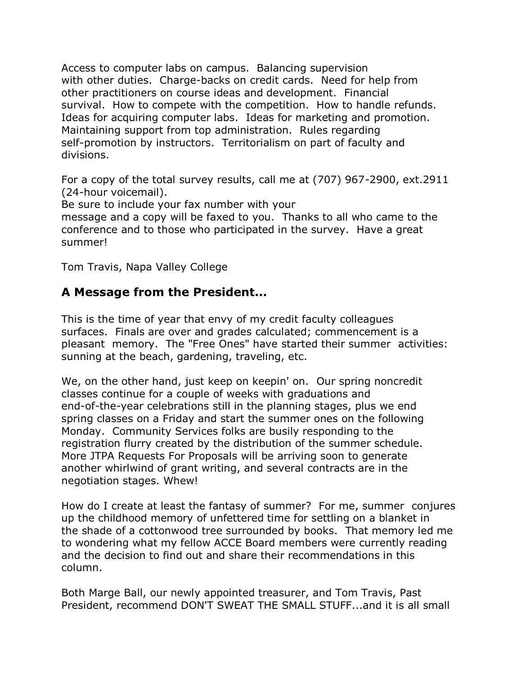Access to computer labs on campus. Balancing supervision with other duties. Charge-backs on credit cards. Need for help from other practitioners on course ideas and development. Financial survival. How to compete with the competition. How to handle refunds. Ideas for acquiring computer labs. Ideas for marketing and promotion. Maintaining support from top administration. Rules regarding self-promotion by instructors. Territorialism on part of faculty and divisions.

For a copy of the total survey results, call me at (707) 967-2900, ext.2911 (24-hour voicemail).

Be sure to include your fax number with your

message and a copy will be faxed to you. Thanks to all who came to the conference and to those who participated in the survey. Have a great summer!

Tom Travis, Napa Valley College

# **A Message from the President...**

This is the time of year that envy of my credit faculty colleagues surfaces. Finals are over and grades calculated; commencement is a pleasant memory. The "Free Ones" have started their summer activities: sunning at the beach, gardening, traveling, etc.

We, on the other hand, just keep on keepin' on. Our spring noncredit classes continue for a couple of weeks with graduations and end-of-the-year celebrations still in the planning stages, plus we end spring classes on a Friday and start the summer ones on the following Monday. Community Services folks are busily responding to the registration flurry created by the distribution of the summer schedule. More JTPA Requests For Proposals will be arriving soon to generate another whirlwind of grant writing, and several contracts are in the negotiation stages. Whew!

How do I create at least the fantasy of summer? For me, summer conjures up the childhood memory of unfettered time for settling on a blanket in the shade of a cottonwood tree surrounded by books. That memory led me to wondering what my fellow ACCE Board members were currently reading and the decision to find out and share their recommendations in this column.

Both Marge Ball, our newly appointed treasurer, and Tom Travis, Past President, recommend DON'T SWEAT THE SMALL STUFF...and it is all small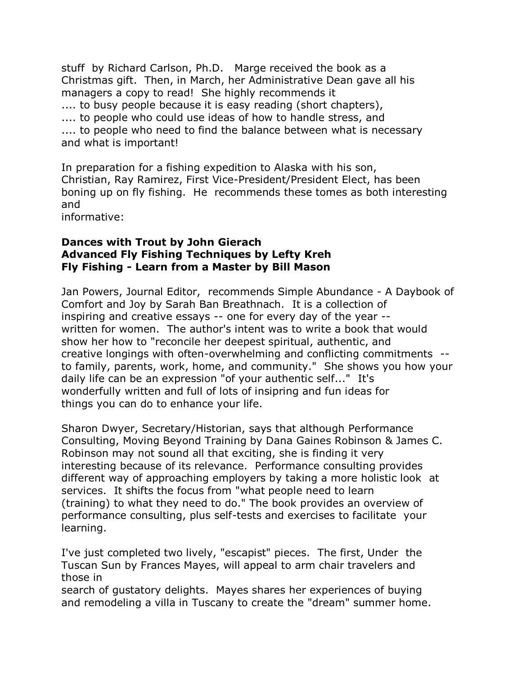stuff by Richard Carlson, Ph.D. Marge received the book as a Christmas gift. Then, in March, her Administrative Dean gave all his managers a copy to read! She highly recommends it .... to busy people because it is easy reading (short chapters), .... to people who could use ideas of how to handle stress, and .... to people who need to find the balance between what is necessary and what is important!

In preparation for a fishing expedition to Alaska with his son, Christian, Ray Ramirez, First Vice-President/President Elect, has been boning up on fly fishing. He recommends these tomes as both interesting and

informative:

#### **Dances with Trout by John Gierach Advanced Fly Fishing Techniques by Lefty Kreh Fly Fishing - Learn from a Master by Bill Mason**

Jan Powers, Journal Editor, recommends Simple Abundance - A Daybook of Comfort and Joy by Sarah Ban Breathnach. It is a collection of inspiring and creative essays -- one for every day of the year - written for women. The author's intent was to write a book that would show her how to "reconcile her deepest spiritual, authentic, and creative longings with often-overwhelming and conflicting commitments - to family, parents, work, home, and community." She shows you how your daily life can be an expression "of your authentic self..." It's wonderfully written and full of lots of insipring and fun ideas for things you can do to enhance your life.

Sharon Dwyer, Secretary/Historian, says that although Performance Consulting, Moving Beyond Training by Dana Gaines Robinson & James C. Robinson may not sound all that exciting, she is finding it very interesting because of its relevance. Performance consulting provides different way of approaching employers by taking a more holistic look at services. It shifts the focus from "what people need to learn (training) to what they need to do." The book provides an overview of performance consulting, plus self-tests and exercises to facilitate your learning.

I've just completed two lively, "escapist" pieces. The first, Under the Tuscan Sun by Frances Mayes, will appeal to arm chair travelers and those in

search of gustatory delights. Mayes shares her experiences of buying and remodeling a villa in Tuscany to create the "dream" summer home.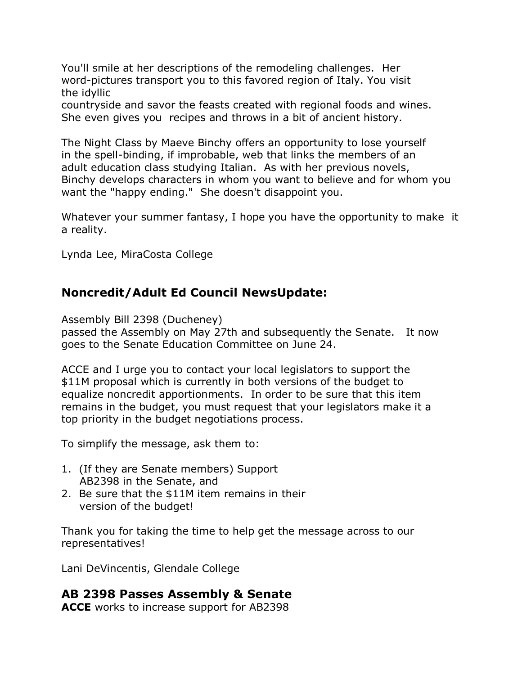You'll smile at her descriptions of the remodeling challenges. Her word-pictures transport you to this favored region of Italy. You visit the idyllic

countryside and savor the feasts created with regional foods and wines. She even gives you recipes and throws in a bit of ancient history.

The Night Class by Maeve Binchy offers an opportunity to lose yourself in the spell-binding, if improbable, web that links the members of an adult education class studying Italian. As with her previous novels, Binchy develops characters in whom you want to believe and for whom you want the "happy ending." She doesn't disappoint you.

Whatever your summer fantasy, I hope you have the opportunity to make it a reality.

Lynda Lee, MiraCosta College

## **Noncredit/Adult Ed Council NewsUpdate:**

Assembly Bill 2398 (Ducheney)

passed the Assembly on May 27th and subsequently the Senate. It now goes to the Senate Education Committee on June 24.

ACCE and I urge you to contact your local legislators to support the \$11M proposal which is currently in both versions of the budget to equalize noncredit apportionments. In order to be sure that this item remains in the budget, you must request that your legislators make it a top priority in the budget negotiations process.

To simplify the message, ask them to:

- 1. (If they are Senate members) Support AB2398 in the Senate, and
- 2. Be sure that the \$11M item remains in their version of the budget!

Thank you for taking the time to help get the message across to our representatives!

Lani DeVincentis, Glendale College

#### **AB 2398 Passes Assembly & Senate**

**ACCE** works to increase support for AB2398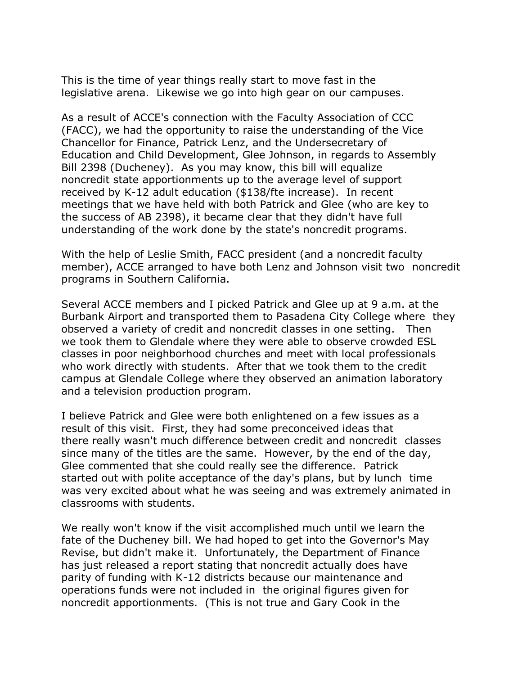This is the time of year things really start to move fast in the legislative arena. Likewise we go into high gear on our campuses.

As a result of ACCE's connection with the Faculty Association of CCC (FACC), we had the opportunity to raise the understanding of the Vice Chancellor for Finance, Patrick Lenz, and the Undersecretary of Education and Child Development, Glee Johnson, in regards to Assembly Bill 2398 (Ducheney). As you may know, this bill will equalize noncredit state apportionments up to the average level of support received by K-12 adult education (\$138/fte increase). In recent meetings that we have held with both Patrick and Glee (who are key to the success of AB 2398), it became clear that they didn't have full understanding of the work done by the state's noncredit programs.

With the help of Leslie Smith, FACC president (and a noncredit faculty member), ACCE arranged to have both Lenz and Johnson visit two noncredit programs in Southern California.

Several ACCE members and I picked Patrick and Glee up at 9 a.m. at the Burbank Airport and transported them to Pasadena City College where they observed a variety of credit and noncredit classes in one setting. Then we took them to Glendale where they were able to observe crowded ESL classes in poor neighborhood churches and meet with local professionals who work directly with students. After that we took them to the credit campus at Glendale College where they observed an animation laboratory and a television production program.

I believe Patrick and Glee were both enlightened on a few issues as a result of this visit. First, they had some preconceived ideas that there really wasn't much difference between credit and noncredit classes since many of the titles are the same. However, by the end of the day, Glee commented that she could really see the difference. Patrick started out with polite acceptance of the day's plans, but by lunch time was very excited about what he was seeing and was extremely animated in classrooms with students.

We really won't know if the visit accomplished much until we learn the fate of the Ducheney bill. We had hoped to get into the Governor's May Revise, but didn't make it. Unfortunately, the Department of Finance has just released a report stating that noncredit actually does have parity of funding with K-12 districts because our maintenance and operations funds were not included in the original figures given for noncredit apportionments. (This is not true and Gary Cook in the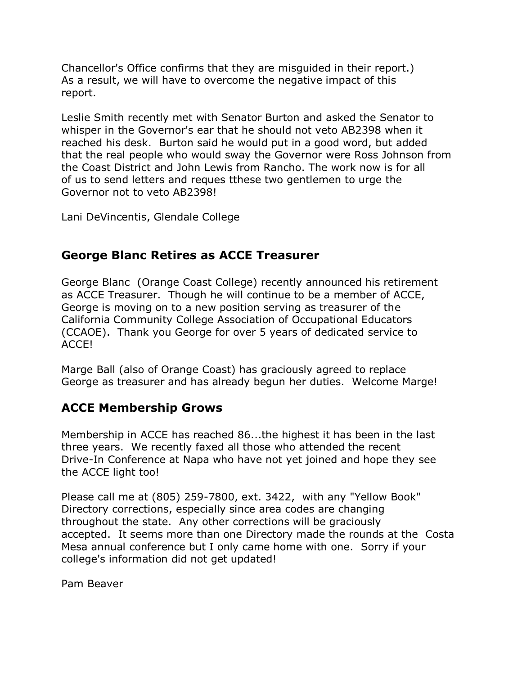Chancellor's Office confirms that they are misguided in their report.) As a result, we will have to overcome the negative impact of this report.

Leslie Smith recently met with Senator Burton and asked the Senator to whisper in the Governor's ear that he should not veto AB2398 when it reached his desk. Burton said he would put in a good word, but added that the real people who would sway the Governor were Ross Johnson from the Coast District and John Lewis from Rancho. The work now is for all of us to send letters and reques tthese two gentlemen to urge the Governor not to veto AB2398!

Lani DeVincentis, Glendale College

### **George Blanc Retires as ACCE Treasurer**

George Blanc (Orange Coast College) recently announced his retirement as ACCE Treasurer. Though he will continue to be a member of ACCE, George is moving on to a new position serving as treasurer of the California Community College Association of Occupational Educators (CCAOE). Thank you George for over 5 years of dedicated service to ACCE!

Marge Ball (also of Orange Coast) has graciously agreed to replace George as treasurer and has already begun her duties. Welcome Marge!

## **ACCE Membership Grows**

Membership in ACCE has reached 86...the highest it has been in the last three years. We recently faxed all those who attended the recent Drive-In Conference at Napa who have not yet joined and hope they see the ACCE light too!

Please call me at (805) 259-7800, ext. 3422, with any "Yellow Book" Directory corrections, especially since area codes are changing throughout the state. Any other corrections will be graciously accepted. It seems more than one Directory made the rounds at the Costa Mesa annual conference but I only came home with one. Sorry if your college's information did not get updated!

Pam Beaver